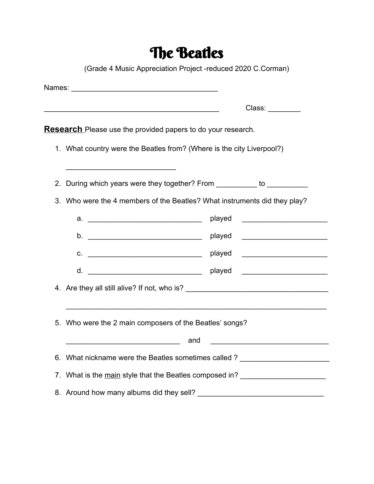# The Beatles

(Grade 4 Music Appreciation Project -reduced 2020 C.Corman)

| <u> 1989 - Johann Stein, marwolaethau a bhann an t-Amhainn an t-Amhainn an t-Amhainn an t-Amhainn an t-Amhainn a</u> | Class: ________                                                                                                        |
|----------------------------------------------------------------------------------------------------------------------|------------------------------------------------------------------------------------------------------------------------|
| <b>Research</b> Please use the provided papers to do your research.                                                  |                                                                                                                        |
| 1. What country were the Beatles from? (Where is the city Liverpool?)                                                |                                                                                                                        |
| 2. During which years were they together? From __________ to ___________                                             |                                                                                                                        |
| 3. Who were the 4 members of the Beatles? What instruments did they play?                                            |                                                                                                                        |
| played                                                                                                               | <u> 1989 - Johann Barbara, martin amerikan basar dan bagi dan bagi dalam basar dalam bagi dalam bagi dalam bagi da</u> |
| played                                                                                                               |                                                                                                                        |
| played<br>$C.$ $\qquad \qquad$                                                                                       | <u> 1990 - Johann Barbara, martin a</u>                                                                                |
| played                                                                                                               |                                                                                                                        |
|                                                                                                                      |                                                                                                                        |
|                                                                                                                      |                                                                                                                        |
| 5. Who were the 2 main composers of the Beatles' songs?                                                              |                                                                                                                        |
|                                                                                                                      | <u> 1980 - Johann Barn, mars ar breithinn ar chwaraeth a bhaile ann an t-</u>                                          |
| 6. What nickname were the Beatles sometimes called ?                                                                 |                                                                                                                        |
| 7. What is the main style that the Beatles composed in?                                                              |                                                                                                                        |
|                                                                                                                      |                                                                                                                        |
|                                                                                                                      |                                                                                                                        |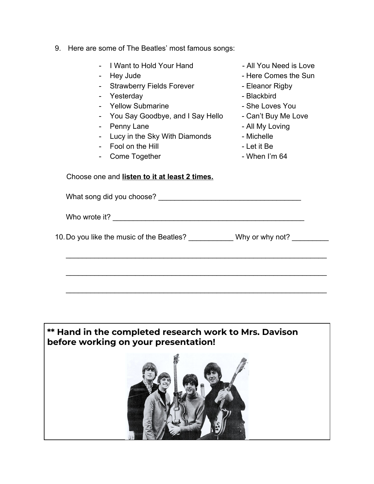- 9. Here are some of The Beatles' most famous songs:
	- I Want to Hold Your Hand The South Could Need is Love
	-
	- Strawberry Fields Forever Eleanor Rigby
	- Yesterday  **Blackbird**
	- Yellow Submarine **National State State Coves You**
	- You Say Goodbye, and I Say Hello Can't Buy Me Love
	- Penny Lane  **All My Loving**
	- Lucy in the Sky With Diamonds Michelle
	- Fool on the Hill **France Container Accord Fool** on the Hill
	- Come Together  **When I'm 64**
- 
- Hey Jude  **Here Comes the Sun** 
	-
	-
	-
	-
	-
	-
	-
	-

Choose one and **listen to it at least 2 times.**

What song did you choose? \_\_\_\_\_\_\_\_\_\_\_\_\_\_\_\_\_\_\_\_\_\_\_\_\_\_\_\_\_\_\_\_\_\_\_

Who wrote it?

10. Do you like the music of the Beatles? Why or why not?

\_\_\_\_\_\_\_\_\_\_\_\_\_\_\_\_\_\_\_\_\_\_\_\_\_\_\_\_\_\_\_\_\_\_\_\_\_\_\_\_\_\_\_\_\_\_\_\_\_\_\_\_\_\_\_\_\_\_\_\_\_\_\_\_

\_\_\_\_\_\_\_\_\_\_\_\_\_\_\_\_\_\_\_\_\_\_\_\_\_\_\_\_\_\_\_\_\_\_\_\_\_\_\_\_\_\_\_\_\_\_\_\_\_\_\_\_\_\_\_\_\_\_\_\_\_\_\_\_

\_\_\_\_\_\_\_\_\_\_\_\_\_\_\_\_\_\_\_\_\_\_\_\_\_\_\_\_\_\_\_\_\_\_\_\_\_\_\_\_\_\_\_\_\_\_\_\_\_\_\_\_\_\_\_\_\_\_\_\_\_\_\_\_

#### **\*\* Hand in the completed research work to Mrs. Davison before working on your presentation!**